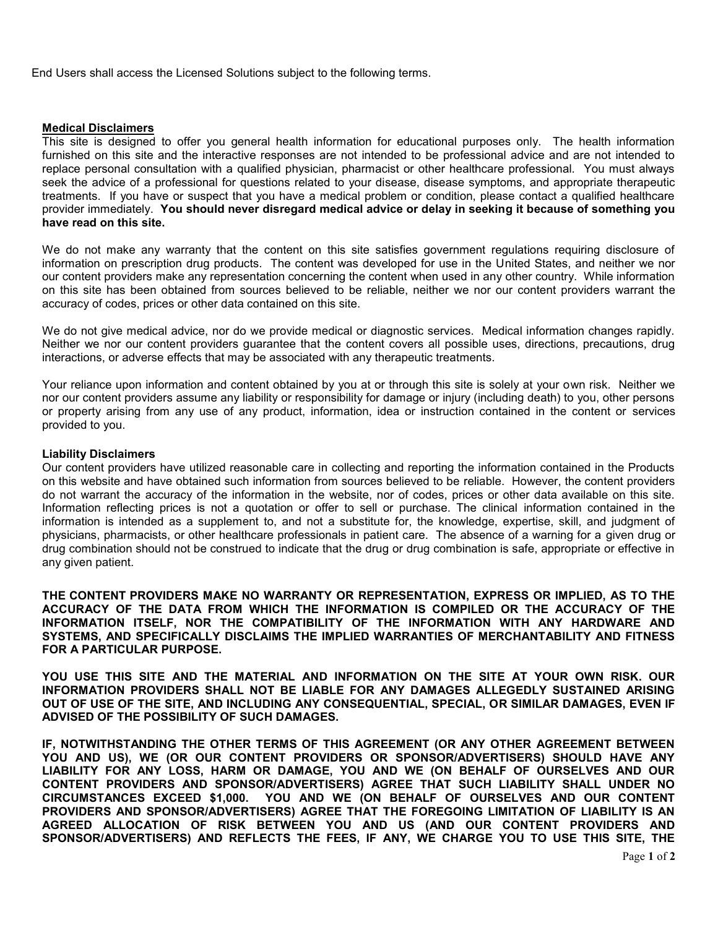End Users shall access the Licensed Solutions subject to the following terms.

#### **Medical Disclaimers**

This site is designed to offer you general health information for educational purposes only. The health information furnished on this site and the interactive responses are not intended to be professional advice and are not intended to replace personal consultation with a qualified physician, pharmacist or other healthcare professional. You must always seek the advice of a professional for questions related to your disease, disease symptoms, and appropriate therapeutic treatments. If you have or suspect that you have a medical problem or condition, please contact a qualified healthcare provider immediately. **You should never disregard medical advice or delay in seeking it because of something you have read on this site.**

We do not make any warranty that the content on this site satisfies government regulations requiring disclosure of information on prescription drug products. The content was developed for use in the United States, and neither we nor our content providers make any representation concerning the content when used in any other country. While information on this site has been obtained from sources believed to be reliable, neither we nor our content providers warrant the accuracy of codes, prices or other data contained on this site.

We do not give medical advice, nor do we provide medical or diagnostic services. Medical information changes rapidly. Neither we nor our content providers quarantee that the content covers all possible uses, directions, precautions, drug interactions, or adverse effects that may be associated with any therapeutic treatments.

Your reliance upon information and content obtained by you at or through this site is solely at your own risk. Neither we nor our content providers assume any liability or responsibility for damage or injury (including death) to you, other persons or property arising from any use of any product, information, idea or instruction contained in the content or services provided to you.

# **Liability Disclaimers**

Our content providers have utilized reasonable care in collecting and reporting the information contained in the Products on this website and have obtained such information from sources believed to be reliable. However, the content providers do not warrant the accuracy of the information in the website, nor of codes, prices or other data available on this site. Information reflecting prices is not a quotation or offer to sell or purchase. The clinical information contained in the information is intended as a supplement to, and not a substitute for, the knowledge, expertise, skill, and judgment of physicians, pharmacists, or other healthcare professionals in patient care. The absence of a warning for a given drug or drug combination should not be construed to indicate that the drug or drug combination is safe, appropriate or effective in any given patient.

**THE CONTENT PROVIDERS MAKE NO WARRANTY OR REPRESENTATION, EXPRESS OR IMPLIED, AS TO THE ACCURACY OF THE DATA FROM WHICH THE INFORMATION IS COMPILED OR THE ACCURACY OF THE INFORMATION ITSELF, NOR THE COMPATIBILITY OF THE INFORMATION WITH ANY HARDWARE AND SYSTEMS, AND SPECIFICALLY DISCLAIMS THE IMPLIED WARRANTIES OF MERCHANTABILITY AND FITNESS FOR A PARTICULAR PURPOSE.** 

**YOU USE THIS SITE AND THE MATERIAL AND INFORMATION ON THE SITE AT YOUR OWN RISK. OUR INFORMATION PROVIDERS SHALL NOT BE LIABLE FOR ANY DAMAGES ALLEGEDLY SUSTAINED ARISING OUT OF USE OF THE SITE, AND INCLUDING ANY CONSEQUENTIAL, SPECIAL, OR SIMILAR DAMAGES, EVEN IF ADVISED OF THE POSSIBILITY OF SUCH DAMAGES.** 

**IF, NOTWITHSTANDING THE OTHER TERMS OF THIS AGREEMENT (OR ANY OTHER AGREEMENT BETWEEN YOU AND US), WE (OR OUR CONTENT PROVIDERS OR SPONSOR/ADVERTISERS) SHOULD HAVE ANY LIABILITY FOR ANY LOSS, HARM OR DAMAGE, YOU AND WE (ON BEHALF OF OURSELVES AND OUR CONTENT PROVIDERS AND SPONSOR/ADVERTISERS) AGREE THAT SUCH LIABILITY SHALL UNDER NO CIRCUMSTANCES EXCEED \$1,000. YOU AND WE (ON BEHALF OF OURSELVES AND OUR CONTENT PROVIDERS AND SPONSOR/ADVERTISERS) AGREE THAT THE FOREGOING LIMITATION OF LIABILITY IS AN AGREED ALLOCATION OF RISK BETWEEN YOU AND US (AND OUR CONTENT PROVIDERS AND SPONSOR/ADVERTISERS) AND REFLECTS THE FEES, IF ANY, WE CHARGE YOU TO USE THIS SITE, THE**